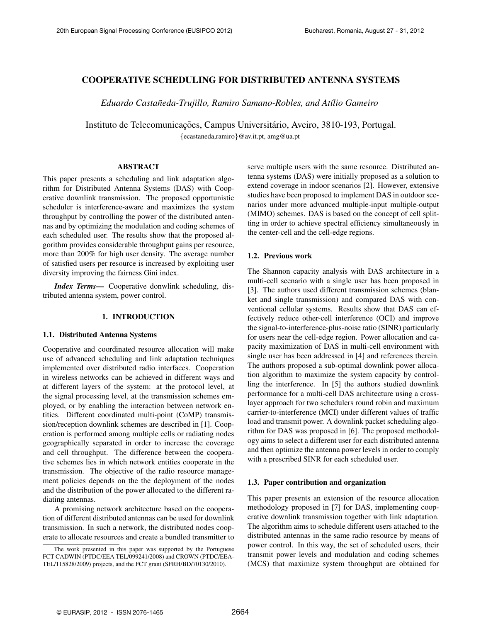# COOPERATIVE SCHEDULING FOR DISTRIBUTED ANTENNA SYSTEMS

*Eduardo Castaneda-Trujillo, Ramiro Samano-Robles, and At ˜ ´ılio Gameiro*

Instituto de Telecomunicações, Campus Universitário, Aveiro, 3810-193, Portugal. {ecastaneda,ramiro}@av.it.pt, amg@ua.pt

# ABSTRACT

This paper presents a scheduling and link adaptation algorithm for Distributed Antenna Systems (DAS) with Cooperative downlink transmission. The proposed opportunistic scheduler is interference-aware and maximizes the system throughput by controlling the power of the distributed antennas and by optimizing the modulation and coding schemes of each scheduled user. The results show that the proposed algorithm provides considerable throughput gains per resource, more than 200% for high user density. The average number of satisfied users per resource is increased by exploiting user diversity improving the fairness Gini index.

*Index Terms*— Cooperative donwlink scheduling, distributed antenna system, power control.

# 1. INTRODUCTION

### 1.1. Distributed Antenna Systems

Cooperative and coordinated resource allocation will make use of advanced scheduling and link adaptation techniques implemented over distributed radio interfaces. Cooperation in wireless networks can be achieved in different ways and at different layers of the system: at the protocol level, at the signal processing level, at the transmission schemes employed, or by enabling the interaction between network entities. Different coordinated multi-point (CoMP) transmission/reception downlink schemes are described in [1]. Cooperation is performed among multiple cells or radiating nodes geographically separated in order to increase the coverage and cell throughput. The difference between the cooperative schemes lies in which network entities cooperate in the transmission. The objective of the radio resource management policies depends on the the deployment of the nodes and the distribution of the power allocated to the different radiating antennas.

A promising network architecture based on the cooperation of different distributed antennas can be used for downlink transmission. In such a network, the distributed nodes cooperate to allocate resources and create a bundled transmitter to

serve multiple users with the same resource. Distributed antenna systems (DAS) were initially proposed as a solution to extend coverage in indoor scenarios [2]. However, extensive studies have been proposed to implement DAS in outdoor scenarios under more advanced multiple-input multiple-output (MIMO) schemes. DAS is based on the concept of cell splitting in order to achieve spectral efficiency simultaneously in the center-cell and the cell-edge regions.

# 1.2. Previous work

The Shannon capacity analysis with DAS architecture in a multi-cell scenario with a single user has been proposed in [3]. The authors used different transmission schemes (blanket and single transmission) and compared DAS with conventional cellular systems. Results show that DAS can effectively reduce other-cell interference (OCI) and improve the signal-to-interference-plus-noise ratio (SINR) particularly for users near the cell-edge region. Power allocation and capacity maximization of DAS in multi-cell environment with single user has been addressed in [4] and references therein. The authors proposed a sub-optimal downlink power allocation algorithm to maximize the system capacity by controlling the interference. In [5] the authors studied downlink performance for a multi-cell DAS architecture using a crosslayer approach for two schedulers round robin and maximum carrier-to-interference (MCI) under different values of traffic load and transmit power. A downlink packet scheduling algorithm for DAS was proposed in [6]. The proposed methodology aims to select a different user for each distributed antenna and then optimize the antenna power levels in order to comply with a prescribed SINR for each scheduled user.

# 1.3. Paper contribution and organization

This paper presents an extension of the resource allocation methodology proposed in [7] for DAS, implementing cooperative downlink transmission together with link adaptation. The algorithm aims to schedule different users attached to the distributed antennas in the same radio resource by means of power control. In this way, the set of scheduled users, their transmit power levels and modulation and coding schemes (MCS) that maximize system throughput are obtained for

The work presented in this paper was supported by the Portuguese FCT CADWIN (PTDC/EEA TEL/099241/2008) and CROWN (PTDC/EEA-TEL/115828/2009) projects, and the FCT grant (SFRH/BD/70130/2010).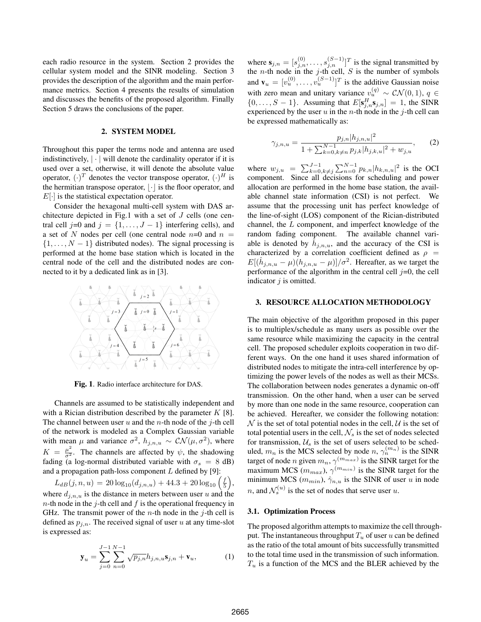each radio resource in the system. Section 2 provides the cellular system model and the SINR modeling. Section 3 provides the description of the algorithm and the main performance metrics. Section 4 presents the results of simulation and discusses the benefits of the proposed algorithm. Finally Section 5 draws the conclusions of the paper.

# 2. SYSTEM MODEL

Throughout this paper the terms node and antenna are used indistinctively,  $|\cdot|$  will denote the cardinality operator if it is used over a set, otherwise, it will denote the absolute value operator,  $(\cdot)^T$  denotes the vector transpose operator,  $(\cdot)^H$  is the hermitian transpose operator,  $|\cdot|$  is the floor operator, and  $E[\cdot]$  is the statistical expectation operator.

Consider the hexagonal multi-cell system with DAS architecture depicted in Fig.1 with a set of J cells (one central cell j=0 and  $j = \{1, \ldots, J-1\}$  interfering cells), and a set of N nodes per cell (one central node  $n=0$  and  $n=1$  $\{1, \ldots, N-1\}$  distributed nodes). The signal processing is performed at the home base station which is located in the central node of the cell and the distributed nodes are connected to it by a dedicated link as in [3].



Fig. 1. Radio interface architecture for DAS.

Channels are assumed to be statistically independent and with a Rician distribution described by the parameter  $K$  [8]. The channel between user  $u$  and the  $n$ -th node of the  $j$ -th cell of the network is modeled as a Complex Gaussian variable with mean  $\mu$  and variance  $\sigma^2$ ,  $h_{j,n,u} \sim \mathcal{CN}(\mu, \sigma^2)$ , where  $K = \frac{\mu^2}{\sigma^2}$ . The channels are affected by  $\psi$ , the shadowing fading (a log-normal distributed variable with  $\sigma_s = 8$  dB) and a propagation path-loss component  $L$  defined by [9]:

 $L_{dB}(j, n, u) = 20 \log_{10}(d_{j,n,u}) + 44.3 + 20 \log_{10}(\frac{f}{5}),$ where  $d_{i,n,u}$  is the distance in meters between user u and the  $n$ -th node in the j-th cell and f is the operational frequency in GHz. The transmit power of the *n*-th node in the *j*-th cell is defined as  $p_{j,n}$ . The received signal of user u at any time-slot is expressed as:

$$
\mathbf{y}_{u} = \sum_{j=0}^{J-1} \sum_{n=0}^{N-1} \sqrt{p_{j,n}} h_{j,n,u} \mathbf{s}_{j,n} + \mathbf{v}_{u},
$$
 (1)

where  $\mathbf{s}_{j,n} = [s_{j,n}^{(0)}, \dots, s_{j,n}^{(S-1)}]^T$  is the signal transmitted by the *n*-th node in the *j*-th cell, *S* is the number of symbols and  $\mathbf{v}_u = [v_u^{(0)}, \dots, v_u^{(S-1)}]^T$  is the additive Gaussian noise with zero mean and unitary variance  $v_u^{(q)} \sim \mathcal{CN}(0, 1), q \in$  $\{0, \ldots, S-1\}$ . Assuming that  $E[\mathbf{s}_{j,n}^H \mathbf{s}_{j,n}] = 1$ , the SINR experienced by the user  $u$  in the  $n$ -th node in the  $j$ -th cell can be expressed mathematically as:

$$
\gamma_{j,n,u} = \frac{p_{j,n}|h_{j,n,u}|^2}{1 + \sum_{k=0, k \neq n}^{N-1} p_{j,k}|h_{j,k,u}|^2 + w_{j,u}},\qquad(2)
$$

where  $w_{j,u} = \sum_{k=0, k \neq j}^{J-1} \sum_{n=0}^{N-1} p_{k,n} |h_{k,n,u}|^2$  is the OCI component. Since all decisions for scheduling and power allocation are performed in the home base station, the available channel state information (CSI) is not perfect. We assume that the processing unit has perfect knowledge of the line-of-sight (LOS) component of the Rician-distributed channel, the L component, and imperfect knowledge of the random fading component. The available channel variable is denoted by  $\hat{h}_{j,n,u}$ , and the accuracy of the CSI is characterized by a correlation coefficient defined as  $\rho =$  $E[(\hat{h}_{j,n,u} - \mu)(h_{j,n,u} - \mu)]/\sigma^2$ . Hereafter, as we target the performance of the algorithm in the central cell  $j=0$ , the cell indicator  $j$  is omitted.

### 3. RESOURCE ALLOCATION METHODOLOGY

The main objective of the algorithm proposed in this paper is to multiplex/schedule as many users as possible over the same resource while maximizing the capacity in the central cell. The proposed scheduler exploits cooperation in two different ways. On the one hand it uses shared information of distributed nodes to mitigate the intra-cell interference by optimizing the power levels of the nodes as well as their MCSs. The collaboration between nodes generates a dynamic on-off transmission. On the other hand, when a user can be served by more than one node in the same resource, cooperation can be achieved. Hereafter, we consider the following notation:  $\mathcal N$  is the set of total potential nodes in the cell,  $\mathcal U$  is the set of total potential users in the cell,  $\mathcal{N}_s$  is the set of nodes selected for transmission,  $\mathcal{U}_s$  is the set of users selected to be scheduled,  $m_n$  is the MCS selected by node  $n, \gamma_n^{(m_n)}$  is the SINR target of node *n* given  $m_n$ ,  $\gamma^{(m_{max})}$  is the SINR target for the maximum MCS  $(m_{max})$ ,  $\gamma^{(m_{min})}$  is the SINR target for the minimum MCS ( $m_{min}$ ),  $\hat{\gamma}_{n,u}$  is the SINR of user u in node *n*, and  $\mathcal{N}_s^{(u)}$  is the set of nodes that serve user *u*.

#### 3.1. Optimization Process

The proposed algorithm attempts to maximize the cell throughput. The instantaneous throughput  $T_u$  of user u can be defined as the ratio of the total amount of bits successfully transmitted to the total time used in the transmission of such information.  $T_u$  is a function of the MCS and the BLER achieved by the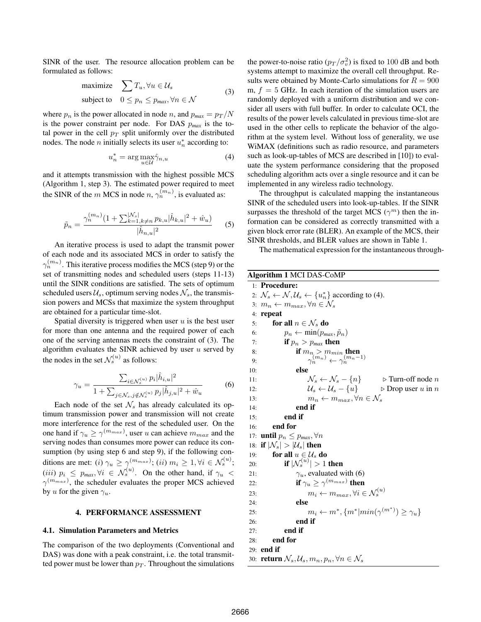SINR of the user. The resource allocation problem can be formulated as follows:

maximize 
$$
\sum T_u, \forall u \in \mathcal{U}_s
$$
  
subject to  $0 \le p_n \le p_{max}, \forall n \in \mathcal{N}$  (3)

where  $p_n$  is the power allocated in node n, and  $p_{max} = p_T/N$ is the power constraint per node. For DAS p*max* is the total power in the cell  $p_T$  split uniformly over the distributed nodes. The node *n* initially selects its user  $u_n^*$  according to:

$$
u_n^* = \arg \max_{u \in \mathcal{U}} \hat{\gamma}_{n,u} \tag{4}
$$

and it attempts transmission with the highest possible MCS (Algorithm 1, step 3). The estimated power required to meet the SINR of the m MCS in node  $n, \gamma_n^{(m_n)}$ , is evaluated as:

$$
\tilde{p}_n = \frac{\gamma_n^{(m_n)}(1 + \sum_{k=1, k \neq n}^{|{\mathcal{N}}_s|} p_{k,u} |\hat{h}_{k,u}|^2 + \hat{w}_u)}{|\hat{h}_{n,u}|^2} \tag{5}
$$

An iterative process is used to adapt the transmit power of each node and its associated MCS in order to satisfy the  $\gamma_n^{(m_n)}$ . This iterative process modifies the MCS (step 9) or the set of transmitting nodes and scheduled users (steps 11-13) until the SINR conditions are satisfied. The sets of optimum scheduled users  $\mathcal{U}_s$ , optimum serving nodes  $\mathcal{N}_s$ , the transmission powers and MCSs that maximize the system throughput are obtained for a particular time-slot.

Spatial diversity is triggered when user  $u$  is the best user for more than one antenna and the required power of each one of the serving antennas meets the constraint of (3). The algorithm evaluates the SINR achieved by user  $u$  served by the nodes in the set  $\mathcal{N}_s^{(u)}$  as follows:

$$
\gamma_u = \frac{\sum_{i \in \mathcal{N}_s^{(u)}} p_i |\hat{h}_{i,u}|^2}{1 + \sum_{j \in \mathcal{N}_s, j \notin \mathcal{N}_s^{(u)}} p_j |\hat{h}_{j,u}|^2 + \hat{w}_u}
$$
(6)

Each node of the set  $\mathcal{N}_s$  has already calculated its optimum transmission power and transmission will not create more interference for the rest of the scheduled user. On the one hand if  $\gamma_u \ge \gamma^{(m_{max})}$ , user u can achieve  $m_{max}$  and the serving nodes than consumes more power can reduce its consumption (by using step 6 and step 9), if the following conditions are met: (i)  $\gamma_u \geq \gamma_{u}^{(m_{max})}$ ; (ii)  $m_i \geq 1, \forall i \in \mathcal{N}_s^{(u)}$ ;  $(iii)$   $p_i \leq p_{max}, \forall i \in \mathcal{N}_s^{(u)}$ . On the other hand, if  $\gamma_u$  $\gamma^{(m_{max})}$ , the scheduler evaluates the proper MCS achieved by u for the given  $\gamma_u$ .

### 4. PERFORMANCE ASSESSMENT

# 4.1. Simulation Parameters and Metrics

The comparison of the two deployments (Conventional and DAS) was done with a peak constraint, *i.e.* the total transmitted power must be lower than  $p_T$ . Throughout the simulations

the power-to-noise ratio  $(p_T / \sigma_v^2)$  is fixed to 100 dB and both systems attempt to maximize the overall cell throughput. Results were obtained by Monte-Carlo simulations for  $R = 900$ m,  $f = 5$  GHz. In each iteration of the simulation users are randomly deployed with a uniform distribution and we consider all users with full buffer. In order to calculate OCI, the results of the power levels calculated in previous time-slot are used in the other cells to replicate the behavior of the algorithm at the system level. Without loss of generality, we use WiMAX (definitions such as radio resource, and parameters such as look-up-tables of MCS are described in [10]) to evaluate the system performance considering that the proposed scheduling algorithm acts over a single resource and it can be implemented in any wireless radio technology.

The throughput is calculated mapping the instantaneous SINR of the scheduled users into look-up-tables. If the SINR surpasses the threshold of the target MCS  $(\gamma^m)$  then the information can be considered as correctly transmitted with a given block error rate (BLER). An example of the MCS, their SINR thresholds, and BLER values are shown in Table 1.

The mathematical expression for the instantaneous through-

# Algorithm 1 MCI DAS-CoMP

1: Procedure: 2:  $\mathcal{N}_s \leftarrow \mathcal{N}, \mathcal{U}_s \leftarrow \{u_n^*\}$  according to (4). 3:  $m_n \leftarrow m_{max}, \forall n \in \mathcal{N}_s$ <br>4: **repeat** repeat 5: **for all**  $n \in \mathcal{N}_s$  **do**<br>6:  $p_n \leftarrow \min(p_m)$ 6:  $p_n \leftarrow \min(p_{max}, \tilde{p}_n)$ <br>7: **if**  $p_n > p_{max}$  **then** if  $p_n > p_{max}$  then 8: if  $m_{n_i} > m_{min}$  then 9:  $\gamma_n^{(m_n)} \leftarrow \gamma_n^{(m_n-1)}$ 10: else 11:  $\mathcal{N}_s \leftarrow \mathcal{N}_s - \{n\}$  b Turn-off node n<br>
12:  $\mathcal{U}_s \leftarrow \mathcal{U}_s - \{u\}$  b Drop user u in n 12:  $\mathcal{U}_s \leftarrow \mathcal{U}_s - \{u\} \qquad \qquad \triangleright \text{Drop user } u \text{ in } n$ <br>
13:  $m_n \leftarrow m_{max}, \forall n \in \mathcal{N}_s$ 13:  $m_n \leftarrow m_{max}, \forall n \in \mathcal{N}_s$ <br>14: **end if** end if 15: end if 16: end for 17: **until**  $p_n \leq p_{max}, \forall n$ <br>18: **if**  $|\mathcal{N}_s| > |\mathcal{U}_s|$  **then** 18: **if**  $|\mathcal{N}_s| > |\mathcal{U}_s|$  **then**<br>19: **for all**  $u \in \mathcal{U}_s$  **d** 19: **for all**  $u \in \mathcal{U}_s$  **do**<br>20: **if**  $|\mathcal{N}_s^{(u)}| > 1$ 20: **if**  $|\mathcal{N}_s^{(u)}| > 1$  then 21:  $\gamma_u$ , evaluated with (6) 22: **if**  $\gamma_u \geq \gamma^{(m_{max})}$  **then** 23:  $m_i \leftarrow m_{max}, \forall i \in \mathcal{N}_s^{(u)}$ 24: else 25:  $m_i \leftarrow m^*, \{m^* | min(\gamma^{(m^*)}) \ge \gamma_u\}$ 26: end if 27: end if 28: end for 29: end if 30: **return**  $\mathcal{N}_s, \mathcal{U}_s, m_n, p_n, \forall n \in \mathcal{N}_s$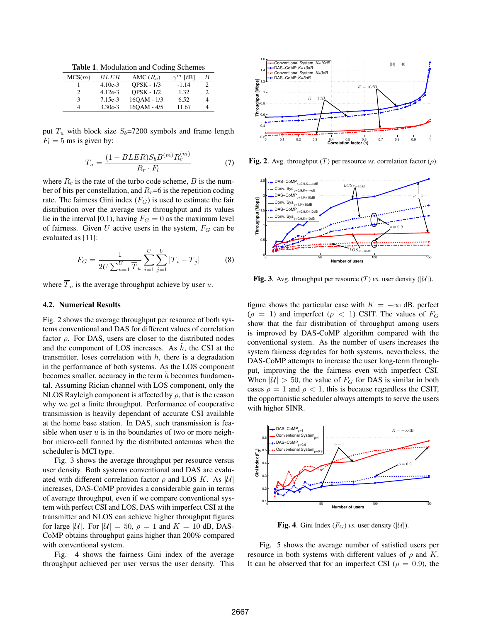Table 1. Modulation and Coding Schemes

| MCS(m) | BLER      | AMC $(R_c)$       | $\gamma^m$ [dB] |   |
|--------|-----------|-------------------|-----------------|---|
|        | $4.10e-3$ | <b>OPSK - 1/3</b> | $-1.14$         |   |
|        | $4.12e-3$ | <b>OPSK - 1/2</b> | 1.32            |   |
| ٩      | $7.15e-3$ | 160AM - 1/3       | 6.52            | 4 |
|        | $3.30e-3$ | 160AM - 4/5       | 11.67           | 4 |

put  $T_u$  with block size  $S_b$ =7200 symbols and frame length  $F_l = 5$  ms is given by:

$$
T_u = \frac{(1 - BLER)S_b B^{(m)} R_c^{(m)}}{R_r \cdot F_l}
$$
(7)

where  $R_c$  is the rate of the turbo code scheme,  $B$  is the number of bits per constellation, and  $R<sub>r</sub>=6$  is the repetition coding rate. The fairness Gini index  $(F_G)$  is used to estimate the fair distribution over the average user throughput and its values lie in the interval [0,1), having  $F_G = 0$  as the maximum level of fairness. Given  $U$  active users in the system,  $F_G$  can be evaluated as [11]:

$$
F_G = \frac{1}{2U \sum_{u=1}^{U} \overline{T}_u} \sum_{i=1}^{U} \sum_{j=1}^{U} |\overline{T}_i - \overline{T}_j|
$$
(8)

where  $\overline{T}_u$  is the average throughput achieve by user u.

### 4.2. Numerical Results

Fig. 2 shows the average throughput per resource of both systems conventional and DAS for different values of correlation factor  $\rho$ . For DAS, users are closer to the distributed nodes and the component of LOS increases. As  $h$ , the CSI at the transmitter, loses correlation with  $h$ , there is a degradation in the performance of both systems. As the LOS component becomes smaller, accuracy in the term  $h$  becomes fundamental. Assuming Rician channel with LOS component, only the NLOS Rayleigh component is affected by  $\rho$ , that is the reason why we get a finite throughput. Performance of cooperative transmission is heavily dependant of accurate CSI available at the home base station. In DAS, such transmission is feasible when user  $u$  is in the boundaries of two or more neighbor micro-cell formed by the distributed antennas when the scheduler is MCI type.

Fig. 3 shows the average throughput per resource versus user density. Both systems conventional and DAS are evaluated with different correlation factor  $\rho$  and LOS K. As |U| increases, DAS-CoMP provides a considerable gain in terms of average throughput, even if we compare conventional system with perfect CSI and LOS, DAS with imperfect CSI at the transmitter and NLOS can achieve higher throughput figures for large |U|. For  $|U| = 50$ ,  $\rho = 1$  and  $K = 10$  dB, DAS-CoMP obtains throughput gains higher than 200% compared with conventional system.

Fig. 4 shows the fairness Gini index of the average throughput achieved per user versus the user density. This



Fig. 2. Avg. throughput  $(T)$  per resource *vs.* correlation factor  $(\rho)$ .



**Fig. 3.** Avg. throughput per resource  $(T)$  *vs.* user density  $(|\mathcal{U}|)$ .

figure shows the particular case with  $K = -\infty$  dB, perfect  $(\rho = 1)$  and imperfect  $(\rho < 1)$  CSIT. The values of  $F_G$ show that the fair distribution of throughput among users is improved by DAS-CoMP algorithm compared with the conventional system. As the number of users increases the system fairness degrades for both systems, nevertheless, the DAS-CoMP attempts to increase the user long-term throughput, improving the the fairness even with imperfect CSI. When  $|U| > 50$ , the value of  $F_G$  for DAS is similar in both cases  $\rho = 1$  and  $\rho < 1$ , this is because regardless the CSIT, the opportunistic scheduler always attempts to serve the users with higher SINR.



**Fig. 4.** Gini Index  $(F_G)$  *vs.* user density  $(|\mathcal{U}|)$ .

Fig. 5 shows the average number of satisfied users per resource in both systems with different values of  $\rho$  and K. It can be observed that for an imperfect CSI ( $\rho = 0.9$ ), the